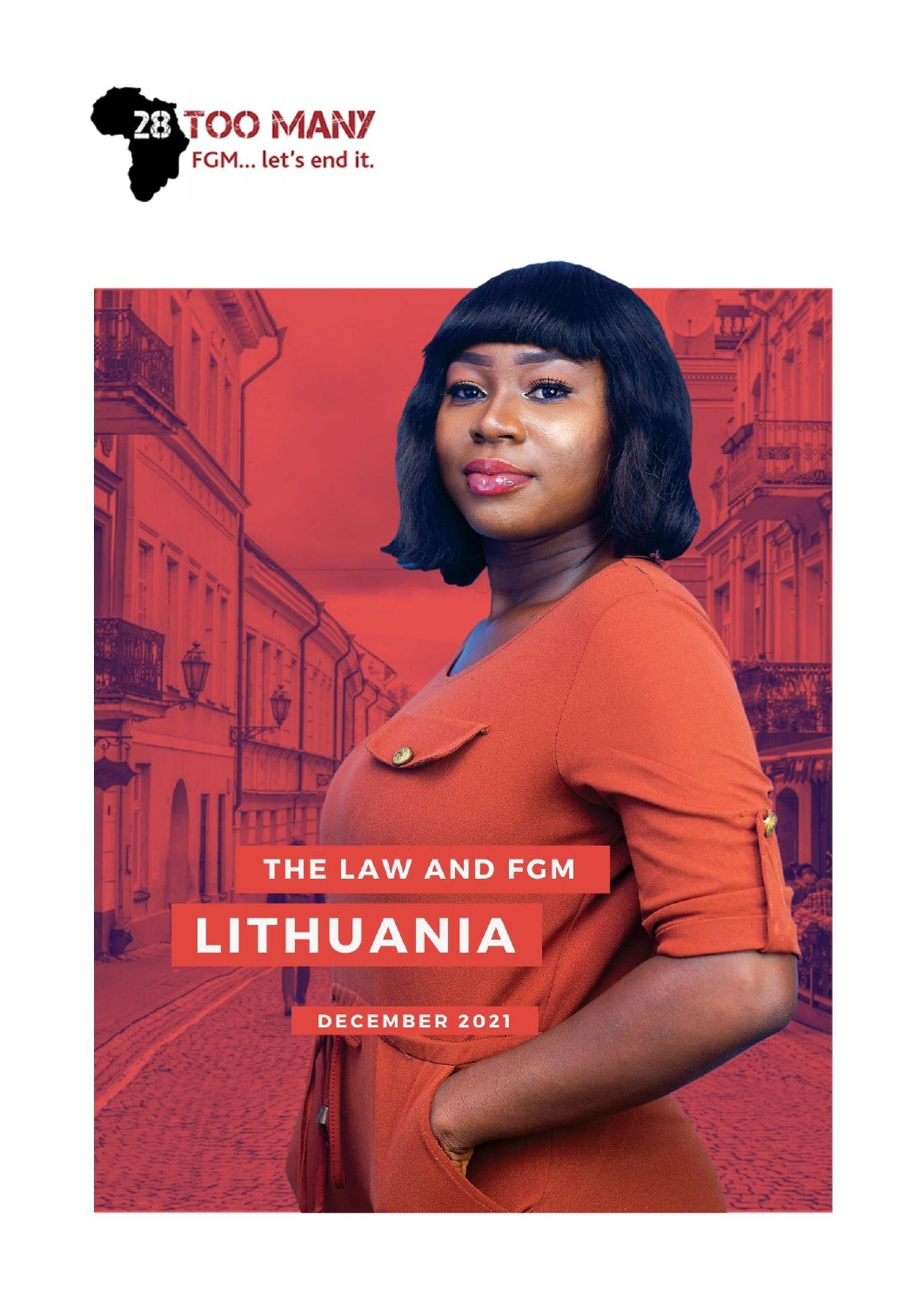

# THE LAW AND FGM

**THUANIA** I

**DECEMBER 2021**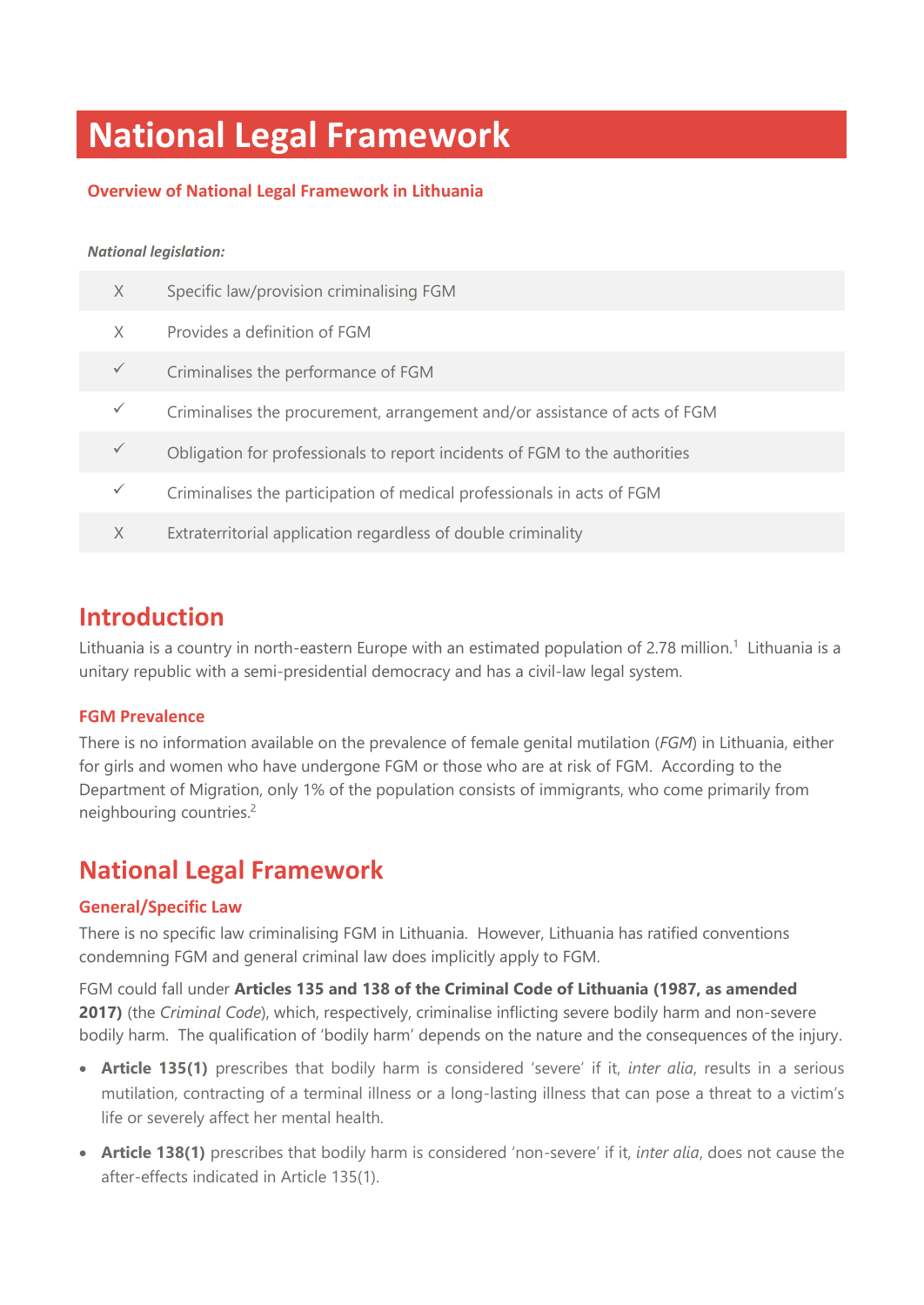## **National Legal Framework**

### **Overview of National Legal Framework in Lithuania**

#### *National legislation:*

| X            | Specific law/provision criminalising FGM                                   |
|--------------|----------------------------------------------------------------------------|
| X            | Provides a definition of FGM                                               |
| $\checkmark$ | Criminalises the performance of FGM                                        |
| $\checkmark$ | Criminalises the procurement, arrangement and/or assistance of acts of FGM |
| $\checkmark$ | Obligation for professionals to report incidents of FGM to the authorities |
| $\checkmark$ | Criminalises the participation of medical professionals in acts of FGM     |
| X            | Extraterritorial application regardless of double criminality              |

### **Introduction**

Lithuania is a country in north-eastern Europe with an estimated population of 2.78 million.<sup>1</sup> Lithuania is a unitary republic with a semi-presidential democracy and has a civil-law legal system.

### **FGM Prevalence**

There is no information available on the prevalence of female genital mutilation (*FGM*) in Lithuania, either for girls and women who have undergone FGM or those who are at risk of FGM. According to the Department of Migration, only 1% of the population consists of immigrants, who come primarily from neighbouring countries. 2

### **National Legal Framework**

### **General/Specific Law**

There is no specific law criminalising FGM in Lithuania. However, Lithuania has ratified conventions condemning FGM and general criminal law does implicitly apply to FGM.

FGM could fall under **Articles 135 and 138 of the Criminal Code of Lithuania (1987, as amended 2017)** (the *Criminal Code*), which, respectively, criminalise inflicting severe bodily harm and non-severe bodily harm. The qualification of 'bodily harm' depends on the nature and the consequences of the injury.

- **Article 135(1)** prescribes that bodily harm is considered 'severe' if it, *inter alia*, results in a serious mutilation, contracting of a terminal illness or a long-lasting illness that can pose a threat to a victim's life or severely affect her mental health.
- **Article 138(1)** prescribes that bodily harm is considered 'non-severe' if it, *inter alia*, does not cause the after-effects indicated in Article 135(1).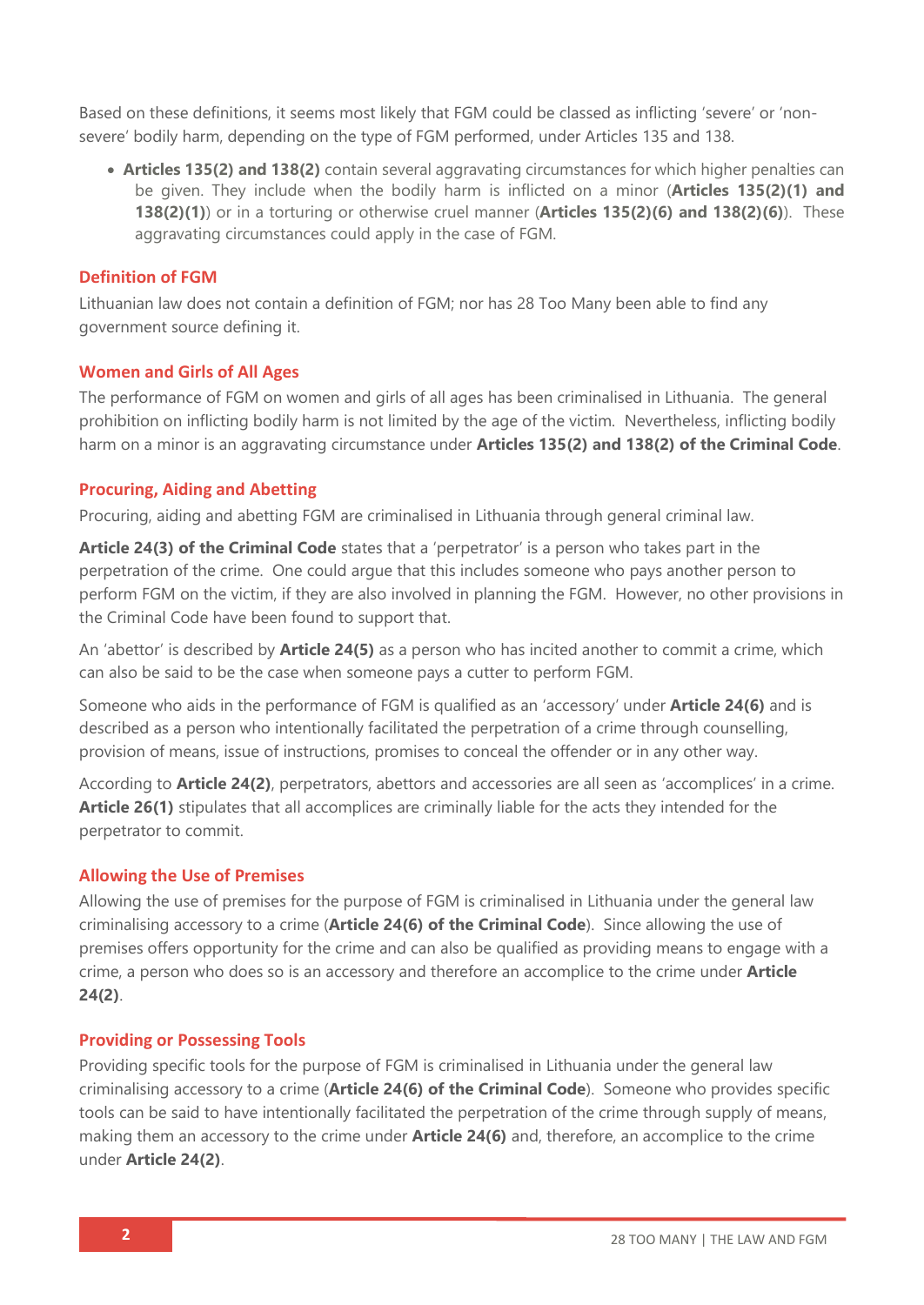Based on these definitions, it seems most likely that FGM could be classed as inflicting 'severe' or 'nonsevere' bodily harm, depending on the type of FGM performed, under Articles 135 and 138.

• **Articles 135(2) and 138(2)** contain several aggravating circumstances for which higher penalties can be given. They include when the bodily harm is inflicted on a minor (**Articles 135(2)(1) and 138(2)(1)**) or in a torturing or otherwise cruel manner (**Articles 135(2)(6) and 138(2)(6)**). These aggravating circumstances could apply in the case of FGM.

### **Definition of FGM**

Lithuanian law does not contain a definition of FGM; nor has 28 Too Many been able to find any government source defining it.

### **Women and Girls of All Ages**

The performance of FGM on women and girls of all ages has been criminalised in Lithuania. The general prohibition on inflicting bodily harm is not limited by the age of the victim. Nevertheless, inflicting bodily harm on a minor is an aggravating circumstance under **Articles 135(2) and 138(2) of the Criminal Code**.

### **Procuring, Aiding and Abetting**

Procuring, aiding and abetting FGM are criminalised in Lithuania through general criminal law.

**Article 24(3) of the Criminal Code** states that a 'perpetrator' is a person who takes part in the perpetration of the crime. One could argue that this includes someone who pays another person to perform FGM on the victim, if they are also involved in planning the FGM. However, no other provisions in the Criminal Code have been found to support that.

An 'abettor' is described by **Article 24(5)** as a person who has incited another to commit a crime, which can also be said to be the case when someone pays a cutter to perform FGM.

Someone who aids in the performance of FGM is qualified as an 'accessory' under **Article 24(6)** and is described as a person who intentionally facilitated the perpetration of a crime through counselling, provision of means, issue of instructions, promises to conceal the offender or in any other way.

According to **Article 24(2)**, perpetrators, abettors and accessories are all seen as 'accomplices' in a crime. **Article 26(1)** stipulates that all accomplices are criminally liable for the acts they intended for the perpetrator to commit.

### **Allowing the Use of Premises**

Allowing the use of premises for the purpose of FGM is criminalised in Lithuania under the general law criminalising accessory to a crime (**Article 24(6) of the Criminal Code**). Since allowing the use of premises offers opportunity for the crime and can also be qualified as providing means to engage with a crime, a person who does so is an accessory and therefore an accomplice to the crime under **Article 24(2)**.

### **Providing or Possessing Tools**

Providing specific tools for the purpose of FGM is criminalised in Lithuania under the general law criminalising accessory to a crime (**Article 24(6) of the Criminal Code**). Someone who provides specific tools can be said to have intentionally facilitated the perpetration of the crime through supply of means, making them an accessory to the crime under **Article 24(6)** and, therefore, an accomplice to the crime under **Article 24(2)**.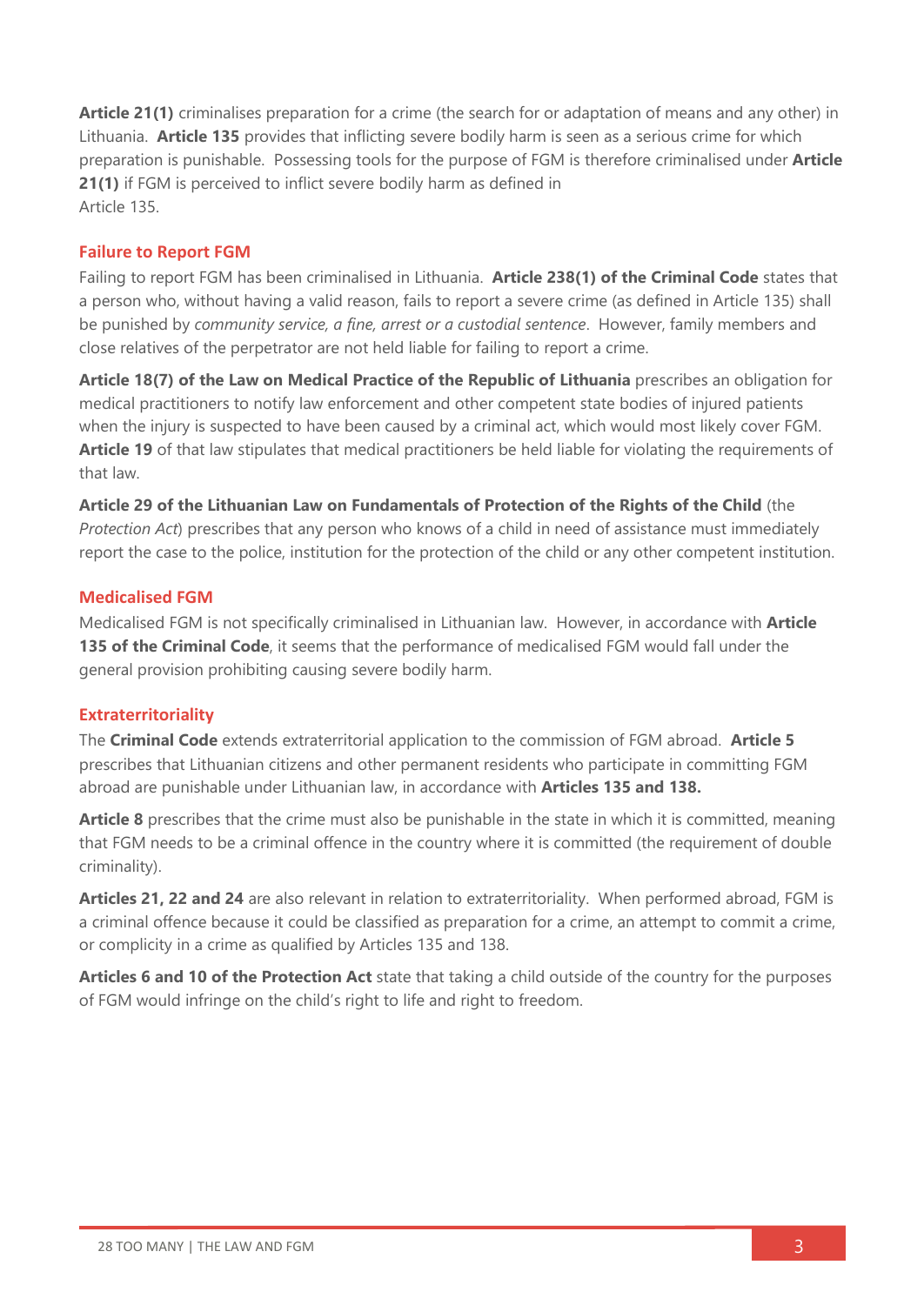**Article 21(1)** criminalises preparation for a crime (the search for or adaptation of means and any other) in Lithuania. **Article 135** provides that inflicting severe bodily harm is seen as a serious crime for which preparation is punishable. Possessing tools for the purpose of FGM is therefore criminalised under **Article 21(1)** if FGM is perceived to inflict severe bodily harm as defined in Article 135.

### **Failure to Report FGM**

Failing to report FGM has been criminalised in Lithuania. **Article 238(1) of the Criminal Code** states that a person who, without having a valid reason, fails to report a severe crime (as defined in Article 135) shall be punished by *community service, a fine, arrest or a custodial sentence*. However, family members and close relatives of the perpetrator are not held liable for failing to report a crime.

**Article 18(7) of the Law on Medical Practice of the Republic of Lithuania** prescribes an obligation for medical practitioners to notify law enforcement and other competent state bodies of injured patients when the injury is suspected to have been caused by a criminal act, which would most likely cover FGM. **Article 19** of that law stipulates that medical practitioners be held liable for violating the requirements of that law.

**Article 29 of the Lithuanian Law on Fundamentals of Protection of the Rights of the Child** (the *Protection Act*) prescribes that any person who knows of a child in need of assistance must immediately report the case to the police, institution for the protection of the child or any other competent institution.

### **Medicalised FGM**

Medicalised FGM is not specifically criminalised in Lithuanian law. However, in accordance with **Article 135 of the Criminal Code**, it seems that the performance of medicalised FGM would fall under the general provision prohibiting causing severe bodily harm.

### **Extraterritoriality**

The **Criminal Code** extends extraterritorial application to the commission of FGM abroad. **Article 5**  prescribes that Lithuanian citizens and other permanent residents who participate in committing FGM abroad are punishable under Lithuanian law, in accordance with **Articles 135 and 138.**

**Article 8** prescribes that the crime must also be punishable in the state in which it is committed, meaning that FGM needs to be a criminal offence in the country where it is committed (the requirement of double criminality).

**Articles 21, 22 and 24** are also relevant in relation to extraterritoriality. When performed abroad, FGM is a criminal offence because it could be classified as preparation for a crime, an attempt to commit a crime, or complicity in a crime as qualified by Articles 135 and 138.

**Articles 6 and 10 of the Protection Act** state that taking a child outside of the country for the purposes of FGM would infringe on the child's right to life and right to freedom.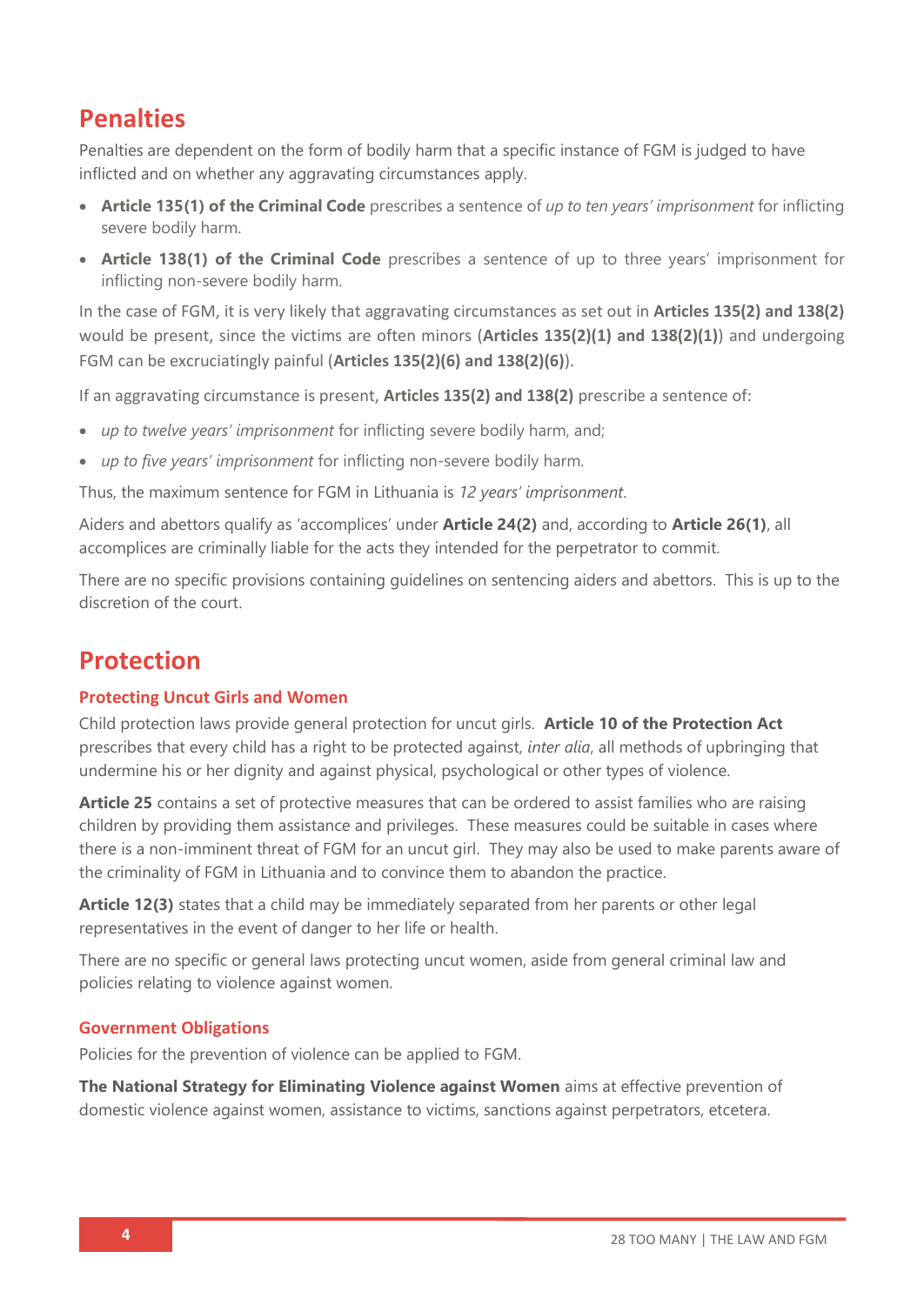### **Penalties**

Penalties are dependent on the form of bodily harm that a specific instance of FGM is judged to have inflicted and on whether any aggravating circumstances apply.

- **Article 135(1) of the Criminal Code** prescribes a sentence of *up to ten years' imprisonment* for inflicting severe bodily harm.
- **Article 138(1) of the Criminal Code** prescribes a sentence of up to three years' imprisonment for inflicting non-severe bodily harm.

In the case of FGM, it is very likely that aggravating circumstances as set out in **Articles 135(2) and 138(2)** would be present, since the victims are often minors (**Articles 135(2)(1) and 138(2)(1)**) and undergoing FGM can be excruciatingly painful (**Articles 135(2)(6) and 138(2)(6)**).

If an aggravating circumstance is present, **Articles 135(2) and 138(2)** prescribe a sentence of:

- *up to twelve years' imprisonment* for inflicting severe bodily harm, and;
- *up to five years' imprisonment* for inflicting non-severe bodily harm.

Thus, the maximum sentence for FGM in Lithuania is *12 years' imprisonment*.

Aiders and abettors qualify as 'accomplices' under **Article 24(2)** and, according to **Article 26(1)**, all accomplices are criminally liable for the acts they intended for the perpetrator to commit.

There are no specific provisions containing guidelines on sentencing aiders and abettors. This is up to the discretion of the court.

### **Protection**

### **Protecting Uncut Girls and Women**

Child protection laws provide general protection for uncut girls. **Article 10 of the Protection Act**  prescribes that every child has a right to be protected against, *inter alia*, all methods of upbringing that undermine his or her dignity and against physical, psychological or other types of violence.

**Article 25** contains a set of protective measures that can be ordered to assist families who are raising children by providing them assistance and privileges. These measures could be suitable in cases where there is a non-imminent threat of FGM for an uncut girl. They may also be used to make parents aware of the criminality of FGM in Lithuania and to convince them to abandon the practice.

**Article 12(3)** states that a child may be immediately separated from her parents or other legal representatives in the event of danger to her life or health.

There are no specific or general laws protecting uncut women, aside from general criminal law and policies relating to violence against women.

### **Government Obligations**

Policies for the prevention of violence can be applied to FGM.

**The National Strategy for Eliminating Violence against Women** aims at effective prevention of domestic violence against women, assistance to victims, sanctions against perpetrators, etcetera.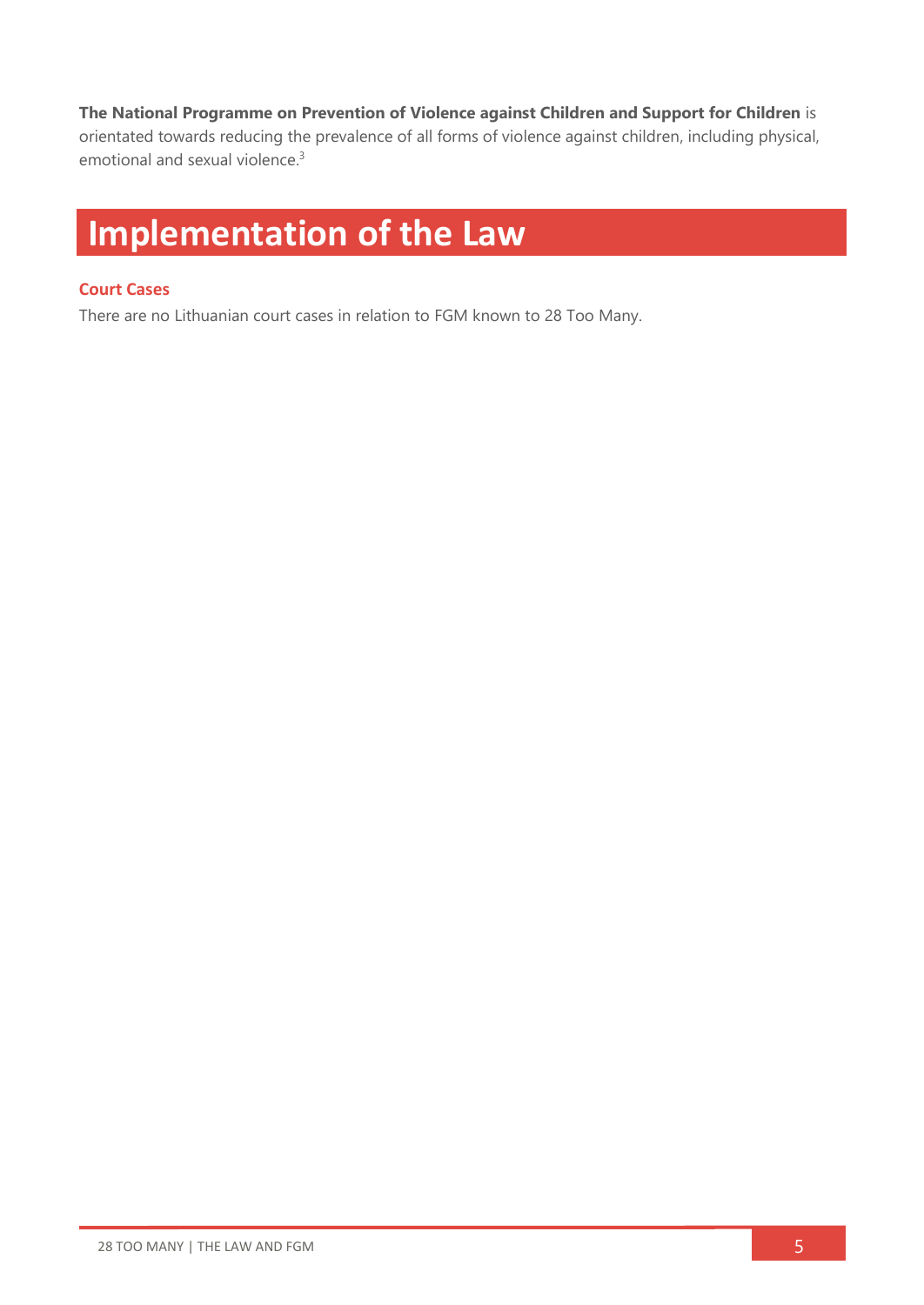### **The National Programme on Prevention of Violence against Children and Support for Children** is

orientated towards reducing the prevalence of all forms of violence against children, including physical, emotional and sexual violence. 3

## **Implementation of the Law**

### **Court Cases**

There are no Lithuanian court cases in relation to FGM known to 28 Too Many.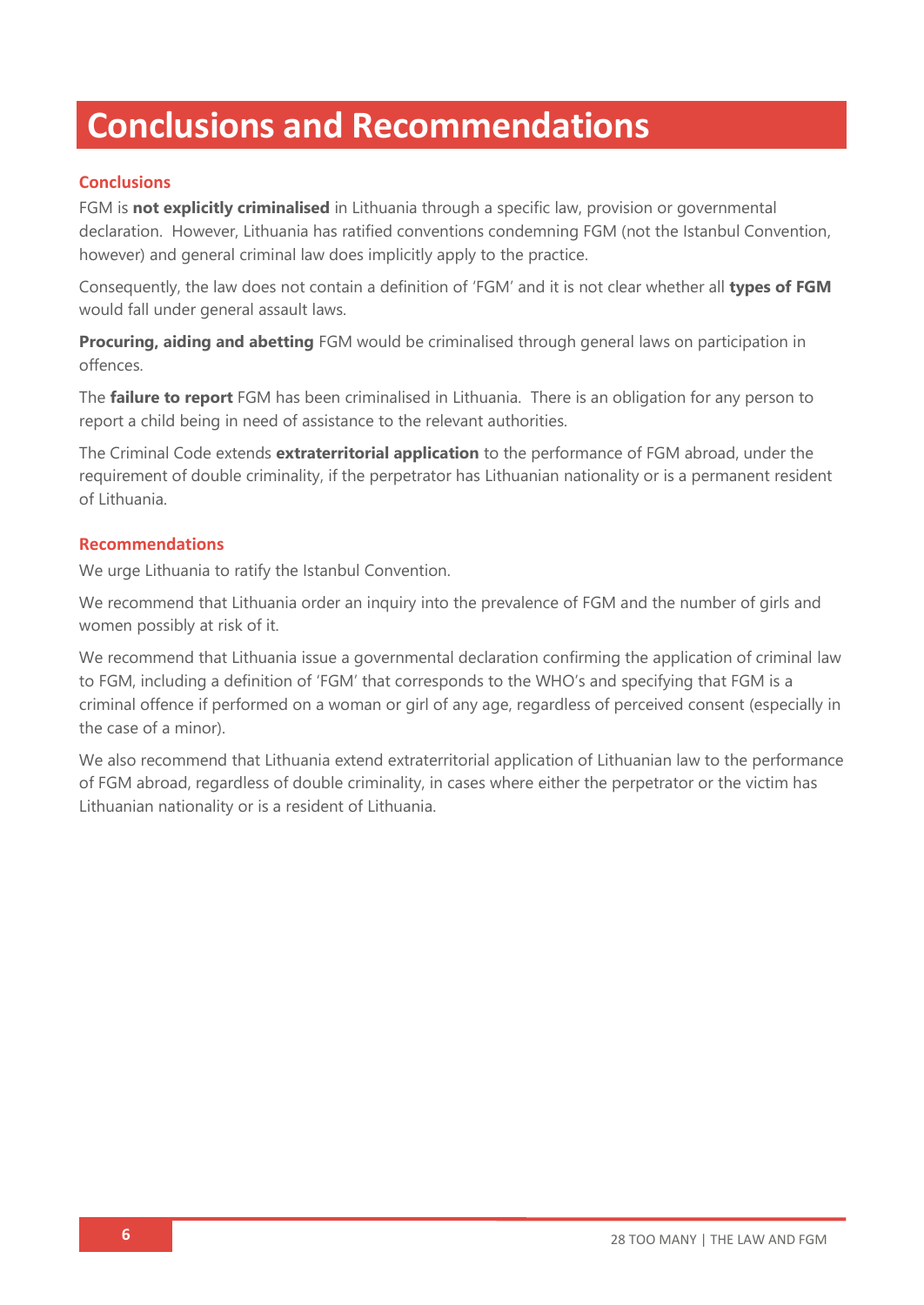## **Conclusions and Recommendations**

### **Conclusions**

FGM is **not explicitly criminalised** in Lithuania through a specific law, provision or governmental declaration. However, Lithuania has ratified conventions condemning FGM (not the Istanbul Convention, however) and general criminal law does implicitly apply to the practice.

Consequently, the law does not contain a definition of 'FGM' and it is not clear whether all **types of FGM** would fall under general assault laws.

**Procuring, aiding and abetting** FGM would be criminalised through general laws on participation in offences.

The **failure to report** FGM has been criminalised in Lithuania. There is an obligation for any person to report a child being in need of assistance to the relevant authorities.

The Criminal Code extends **extraterritorial application** to the performance of FGM abroad, under the requirement of double criminality, if the perpetrator has Lithuanian nationality or is a permanent resident of Lithuania.

### **Recommendations**

We urge Lithuania to ratify the Istanbul Convention.

We recommend that Lithuania order an inquiry into the prevalence of FGM and the number of girls and women possibly at risk of it.

We recommend that Lithuania issue a governmental declaration confirming the application of criminal law to FGM, including a definition of 'FGM' that corresponds to the WHO's and specifying that FGM is a criminal offence if performed on a woman or girl of any age, regardless of perceived consent (especially in the case of a minor).

We also recommend that Lithuania extend extraterritorial application of Lithuanian law to the performance of FGM abroad, regardless of double criminality, in cases where either the perpetrator or the victim has Lithuanian nationality or is a resident of Lithuania.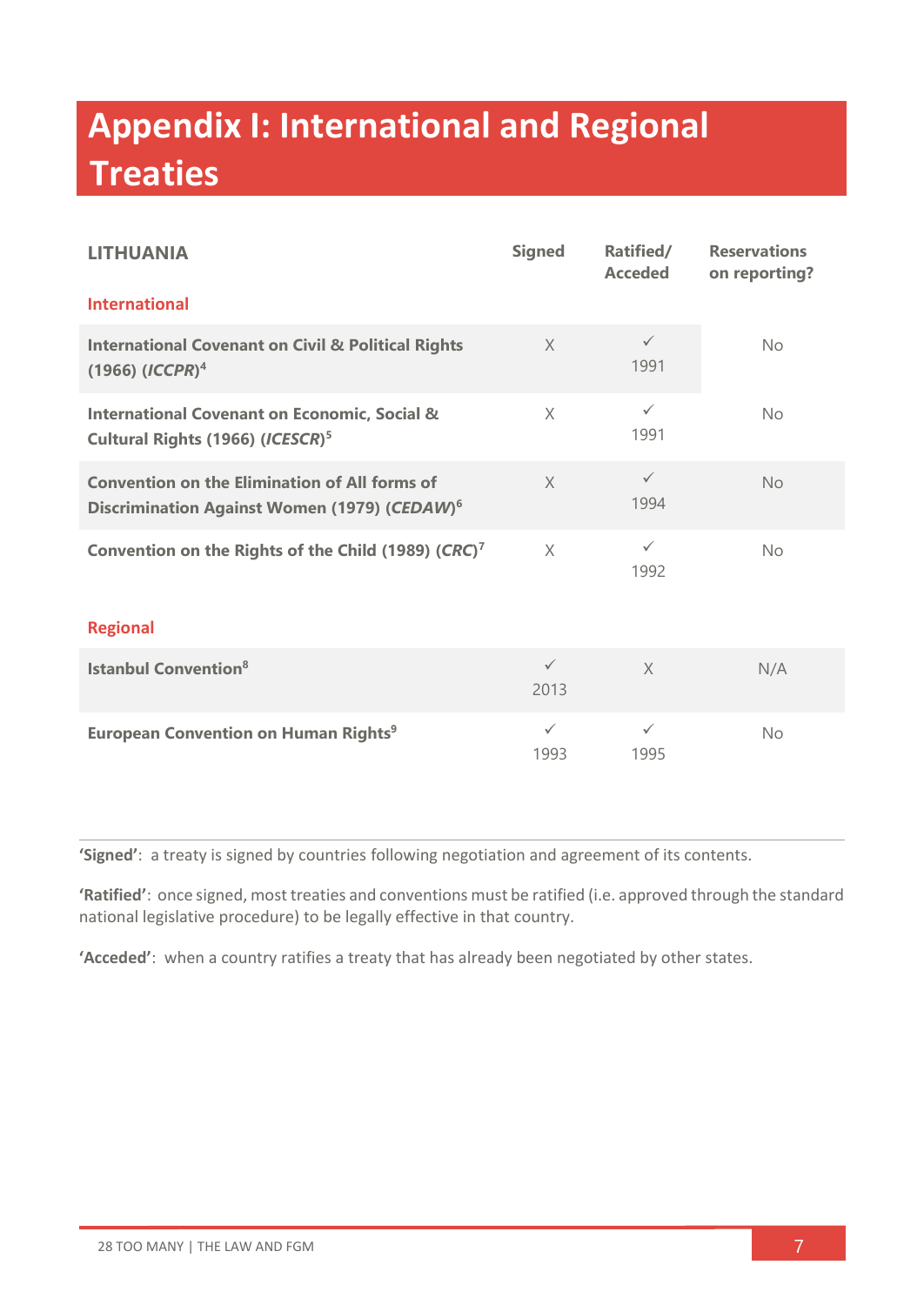## **Appendix I: International and Regional Treaties**

| <b>LITHUANIA</b>                                                                                                 | <b>Signed</b>        | Ratified/<br><b>Acceded</b> | <b>Reservations</b><br>on reporting? |  |
|------------------------------------------------------------------------------------------------------------------|----------------------|-----------------------------|--------------------------------------|--|
| <b>International</b>                                                                                             |                      |                             |                                      |  |
| <b>International Covenant on Civil &amp; Political Rights</b><br>$(1966)$ $(ICCPR)^4$                            | $\times$             | $\checkmark$<br>1991        | No                                   |  |
| <b>International Covenant on Economic, Social &amp;</b><br>Cultural Rights (1966) (ICESCR) <sup>5</sup>          | $\times$             | $\checkmark$<br>1991        | <b>No</b>                            |  |
| <b>Convention on the Elimination of All forms of</b><br>Discrimination Against Women (1979) (CEDAW) <sup>6</sup> | $\chi$               | $\checkmark$<br>1994        | <b>No</b>                            |  |
| Convention on the Rights of the Child (1989) (CRC) <sup>7</sup>                                                  | $\times$             | $\checkmark$<br>1992        | <b>No</b>                            |  |
| <b>Regional</b>                                                                                                  |                      |                             |                                      |  |
| <b>Istanbul Convention</b> <sup>8</sup>                                                                          | $\checkmark$<br>2013 | $\times$                    | N/A                                  |  |
| <b>European Convention on Human Rights<sup>9</sup></b>                                                           | $\checkmark$<br>1993 | $\checkmark$<br>1995        | <b>No</b>                            |  |

**'Signed'**: a treaty is signed by countries following negotiation and agreement of its contents.

**'Ratified'**: once signed, most treaties and conventions must be ratified (i.e. approved through the standard national legislative procedure) to be legally effective in that country.

**'Acceded'**: when a country ratifies a treaty that has already been negotiated by other states.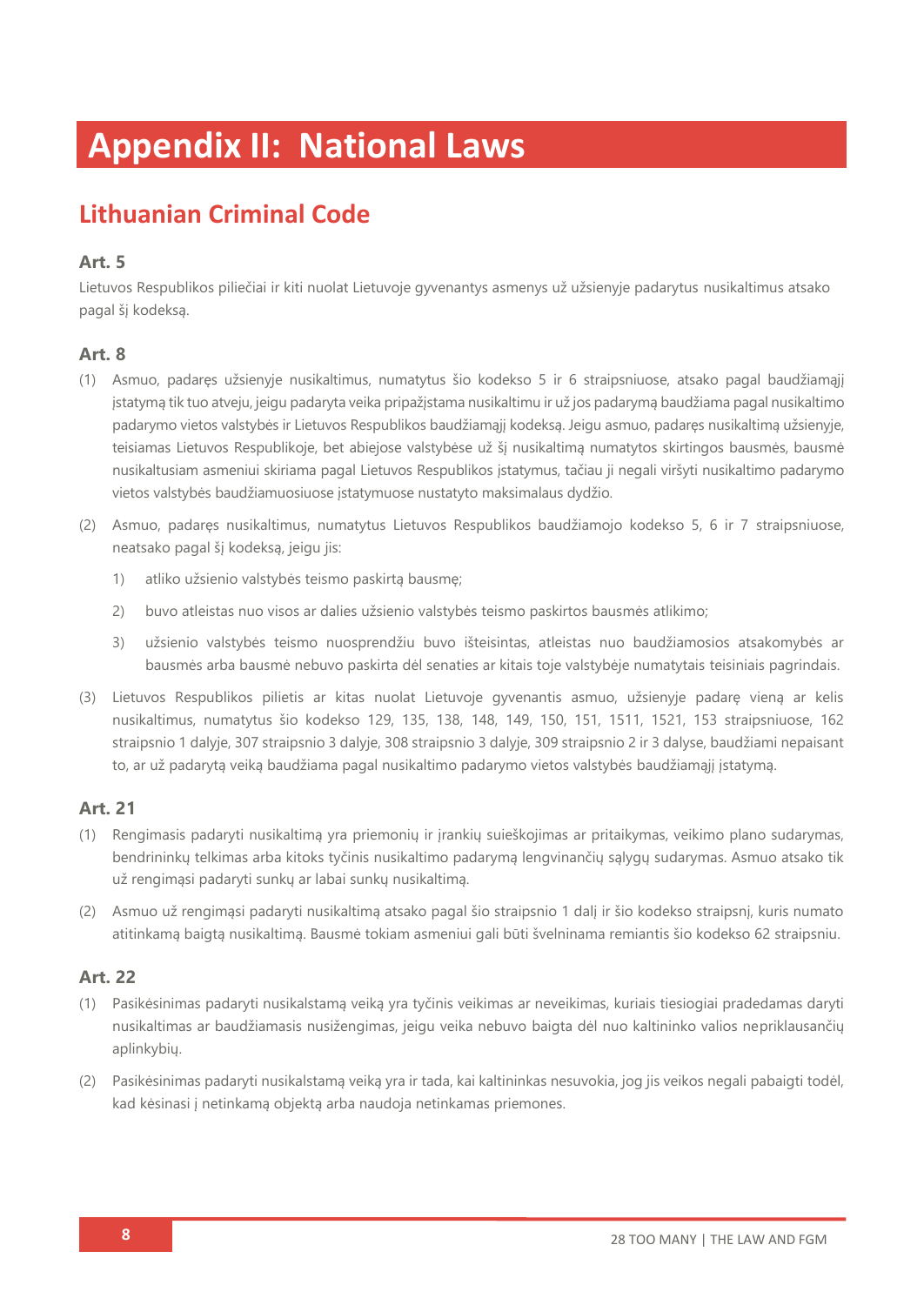## **Appendix II: National Laws**

## **Lithuanian Criminal Code**

### **Art. 5**

Lietuvos Respublikos piliečiai ir kiti nuolat Lietuvoje gyvenantys asmenys už užsienyje padarytus nusikaltimus atsako pagal šį kodeksą.

### **Art. 8**

- (1) Asmuo, padaręs užsienyje nusikaltimus, numatytus šio kodekso 5 ir 6 straipsniuose, atsako pagal baudžiamąjį įstatymą tik tuo atveju, jeigu padaryta veika pripažįstama nusikaltimu ir už jos padarymą baudžiama pagal nusikaltimo padarymo vietos valstybės ir Lietuvos Respublikos baudžiamąjį kodeksą. Jeigu asmuo, padaręs nusikaltimą užsienyje, teisiamas Lietuvos Respublikoje, bet abiejose valstybėse už šį nusikaltimą numatytos skirtingos bausmės, bausmė nusikaltusiam asmeniui skiriama pagal Lietuvos Respublikos įstatymus, tačiau ji negali viršyti nusikaltimo padarymo vietos valstybės baudžiamuosiuose įstatymuose nustatyto maksimalaus dydžio.
- (2) Asmuo, padaręs nusikaltimus, numatytus Lietuvos Respublikos baudžiamojo kodekso 5, 6 ir 7 straipsniuose, neatsako pagal šį kodeksą, jeigu jis:
	- 1) atliko užsienio valstybės teismo paskirtą bausmę;
	- 2) buvo atleistas nuo visos ar dalies užsienio valstybės teismo paskirtos bausmės atlikimo;
	- 3) užsienio valstybės teismo nuosprendžiu buvo išteisintas, atleistas nuo baudžiamosios atsakomybės ar bausmės arba bausmė nebuvo paskirta dėl senaties ar kitais toje valstybėje numatytais teisiniais pagrindais.
- (3) Lietuvos Respublikos pilietis ar kitas nuolat Lietuvoje gyvenantis asmuo, užsienyje padarę vieną ar kelis nusikaltimus, numatytus šio kodekso 129, 135, 138, 148, 149, 150, 151, 1511, 1521, 153 straipsniuose, 162 straipsnio 1 dalyje, 307 straipsnio 3 dalyje, 308 straipsnio 3 dalyje, 309 straipsnio 2 ir 3 dalyse, baudžiami nepaisant to, ar už padarytą veiką baudžiama pagal nusikaltimo padarymo vietos valstybės baudžiamąjį įstatymą.

### **Art. 21**

- (1) Rengimasis padaryti nusikaltimą yra priemonių ir įrankių suieškojimas ar pritaikymas, veikimo plano sudarymas, bendrininkų telkimas arba kitoks tyčinis nusikaltimo padarymą lengvinančių sąlygų sudarymas. Asmuo atsako tik už rengimąsi padaryti sunkų ar labai sunkų nusikaltimą.
- (2) Asmuo už rengimąsi padaryti nusikaltimą atsako pagal šio straipsnio 1 dalį ir šio kodekso straipsnį, kuris numato atitinkamą baigtą nusikaltimą. Bausmė tokiam asmeniui gali būti švelninama remiantis šio kodekso 62 straipsniu.

- (1) Pasikėsinimas padaryti nusikalstamą veiką yra tyčinis veikimas ar neveikimas, kuriais tiesiogiai pradedamas daryti nusikaltimas ar baudžiamasis nusižengimas, jeigu veika nebuvo baigta dėl nuo kaltininko valios nepriklausančių aplinkybių.
- (2) Pasikėsinimas padaryti nusikalstamą veiką yra ir tada, kai kaltininkas nesuvokia, jog jis veikos negali pabaigti todėl, kad kėsinasi į netinkamą objektą arba naudoja netinkamas priemones.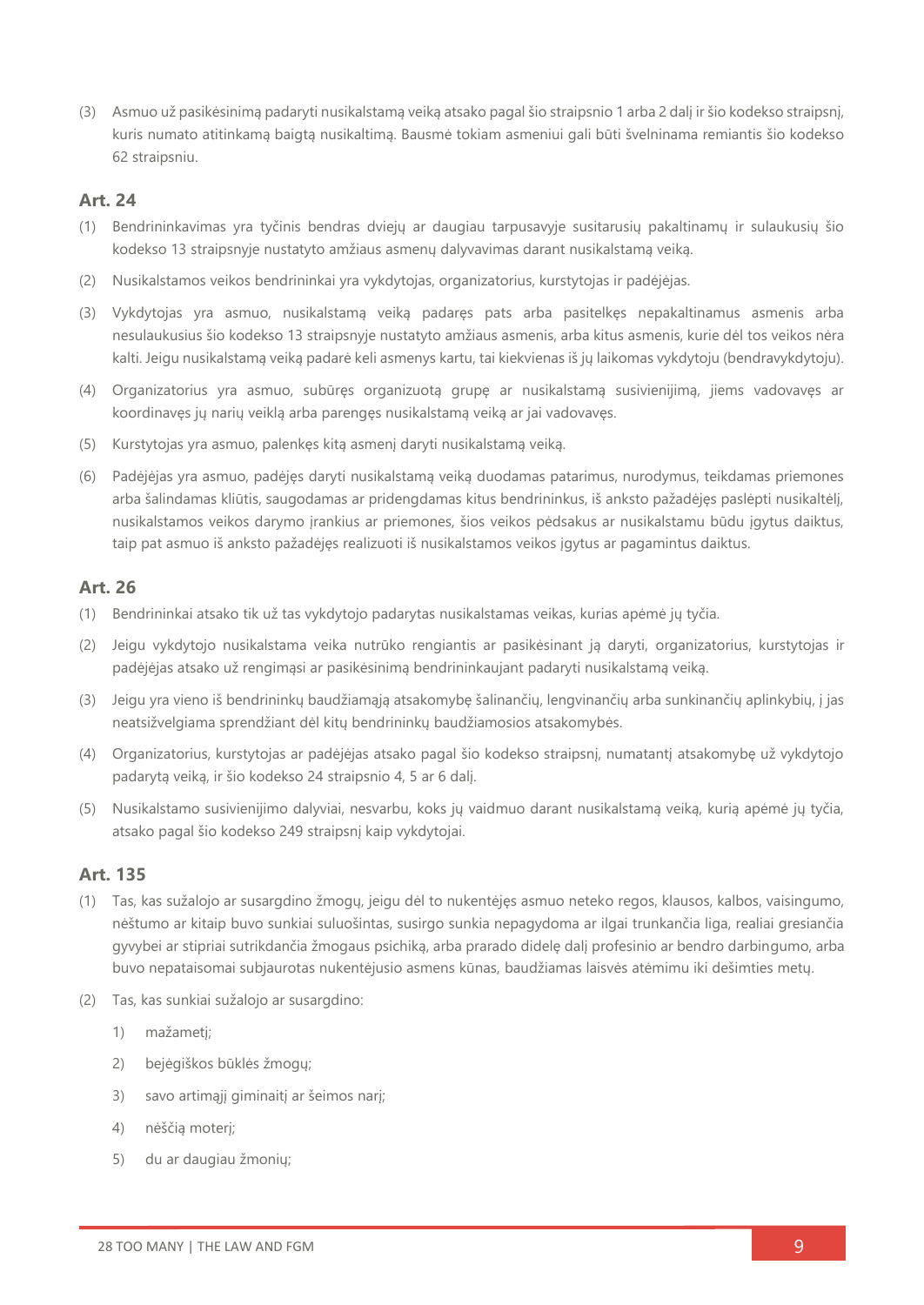(3) Asmuo už pasikėsinimą padaryti nusikalstamą veiką atsako pagal šio straipsnio 1 arba 2 dalį ir šio kodekso straipsnį, kuris numato atitinkamą baigtą nusikaltimą. Bausmė tokiam asmeniui gali būti švelninama remiantis šio kodekso 62 straipsniu.

### **Art. 24**

- (1) Bendrininkavimas yra tyčinis bendras dviejų ar daugiau tarpusavyje susitarusių pakaltinamų ir sulaukusių šio kodekso 13 straipsnyje nustatyto amžiaus asmenų dalyvavimas darant nusikalstamą veiką.
- (2) Nusikalstamos veikos bendrininkai yra vykdytojas, organizatorius, kurstytojas ir padėjėjas.
- (3) Vykdytojas yra asmuo, nusikalstamą veiką padaręs pats arba pasitelkęs nepakaltinamus asmenis arba nesulaukusius šio kodekso 13 straipsnyje nustatyto amžiaus asmenis, arba kitus asmenis, kurie dėl tos veikos nėra kalti. Jeigu nusikalstamą veiką padarė keli asmenys kartu, tai kiekvienas iš jų laikomas vykdytoju (bendravykdytoju).
- (4) Organizatorius yra asmuo, subūręs organizuotą grupę ar nusikalstamą susivienijimą, jiems vadovavęs ar koordinavęs jų narių veiklą arba parengęs nusikalstamą veiką ar jai vadovavęs.
- (5) Kurstytojas yra asmuo, palenkęs kitą asmenį daryti nusikalstamą veiką.
- (6) Padėjėjas yra asmuo, padėjęs daryti nusikalstamą veiką duodamas patarimus, nurodymus, teikdamas priemones arba šalindamas kliūtis, saugodamas ar pridengdamas kitus bendrininkus, iš anksto pažadėjęs paslėpti nusikaltėlį, nusikalstamos veikos darymo įrankius ar priemones, šios veikos pėdsakus ar nusikalstamu būdu įgytus daiktus, taip pat asmuo iš anksto pažadėjęs realizuoti iš nusikalstamos veikos įgytus ar pagamintus daiktus.

### **Art. 26**

- (1) Bendrininkai atsako tik už tas vykdytojo padarytas nusikalstamas veikas, kurias apėmė jų tyčia.
- (2) Jeigu vykdytojo nusikalstama veika nutrūko rengiantis ar pasikėsinant ją daryti, organizatorius, kurstytojas ir padėjėjas atsako už rengimąsi ar pasikėsinimą bendrininkaujant padaryti nusikalstamą veiką.
- (3) Jeigu yra vieno iš bendrininkų baudžiamąją atsakomybę šalinančių, lengvinančių arba sunkinančių aplinkybių, į jas neatsižvelgiama sprendžiant dėl kitų bendrininkų baudžiamosios atsakomybės.
- (4) Organizatorius, kurstytojas ar padėjėjas atsako pagal šio kodekso straipsnį, numatantį atsakomybę už vykdytojo padarytą veiką, ir šio kodekso 24 straipsnio 4, 5 ar 6 dalį.
- (5) Nusikalstamo susivienijimo dalyviai, nesvarbu, koks jų vaidmuo darant nusikalstamą veiką, kurią apėmė jų tyčia, atsako pagal šio kodekso 249 straipsnį kaip vykdytojai.

- (1) Tas, kas sužalojo ar susargdino žmogų, jeigu dėl to nukentėjęs asmuo neteko regos, klausos, kalbos, vaisingumo, nėštumo ar kitaip buvo sunkiai suluošintas, susirgo sunkia nepagydoma ar ilgai trunkančia liga, realiai gresiančia gyvybei ar stipriai sutrikdančia žmogaus psichiką, arba prarado didelę dalį profesinio ar bendro darbingumo, arba buvo nepataisomai subjaurotas nukentėjusio asmens kūnas, baudžiamas laisvės atėmimu iki dešimties metų.
- (2) Tas, kas sunkiai sužalojo ar susargdino:
	- 1) mažametį;
	- 2) bejėgiškos būklės žmogų;
	- 3) savo artimąjį giminaitį ar šeimos narį;
	- 4) nėščią moterį;
	- 5) du ar daugiau žmonių;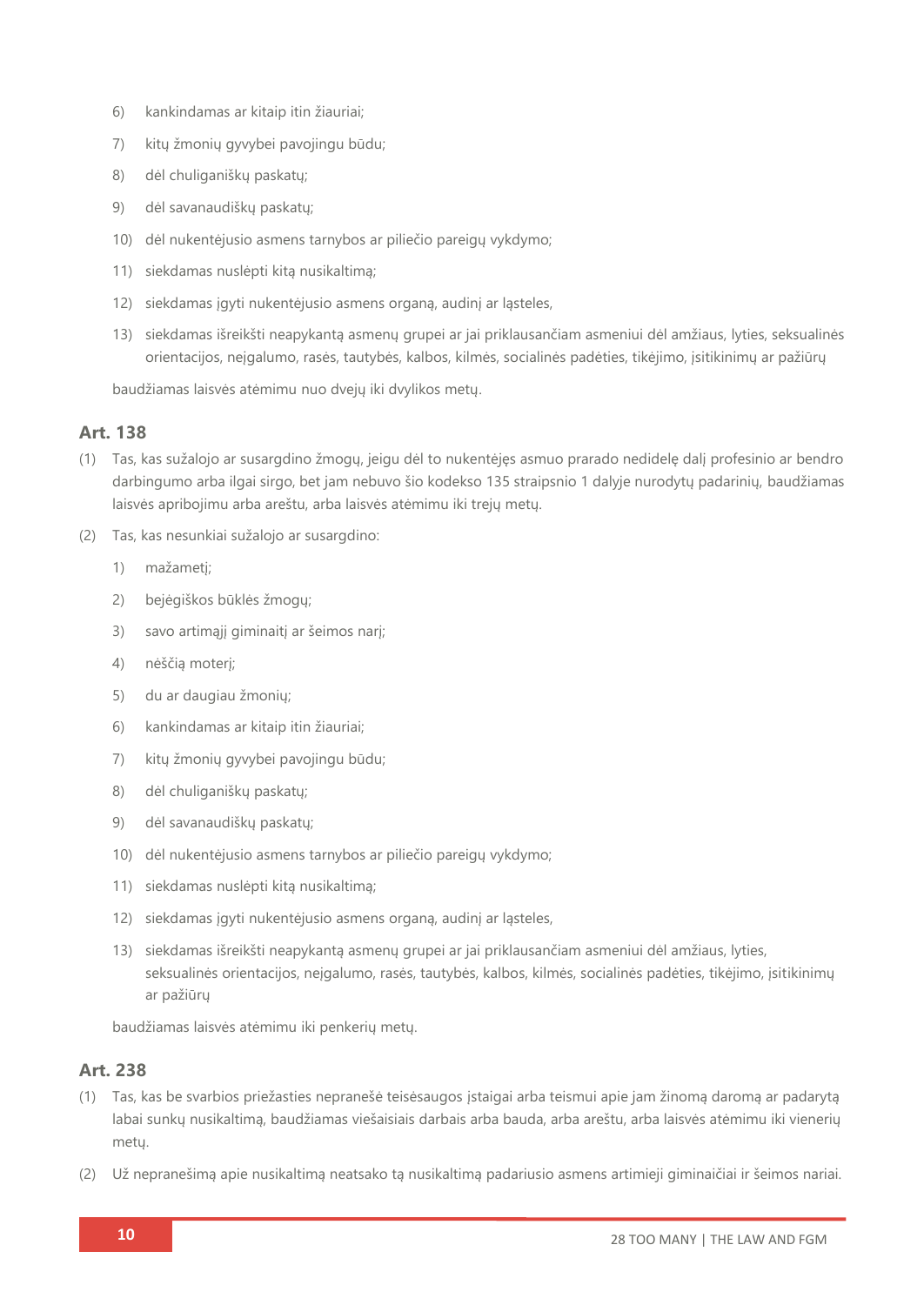- 6) kankindamas ar kitaip itin žiauriai;
- 7) kitų žmonių gyvybei pavojingu būdu;
- 8) dėl chuliganiškų paskatų;
- 9) dėl savanaudiškų paskatų;
- 10) dėl nukentėjusio asmens tarnybos ar piliečio pareigų vykdymo;
- 11) siekdamas nuslėpti kitą nusikaltimą;
- 12) siekdamas įgyti nukentėjusio asmens organą, audinį ar ląsteles,
- 13) siekdamas išreikšti neapykantą asmenų grupei ar jai priklausančiam asmeniui dėl amžiaus, lyties, seksualinės orientacijos, neįgalumo, rasės, tautybės, kalbos, kilmės, socialinės padėties, tikėjimo, įsitikinimų ar pažiūrų

baudžiamas laisvės atėmimu nuo dvejų iki dvylikos metų.

### **Art. 138**

- (1) Tas, kas sužalojo ar susargdino žmogų, jeigu dėl to nukentėjęs asmuo prarado nedidelę dalį profesinio ar bendro darbingumo arba ilgai sirgo, bet jam nebuvo šio kodekso 135 straipsnio 1 dalyje nurodytų padarinių, baudžiamas laisvės apribojimu arba areštu, arba laisvės atėmimu iki trejų metų.
- (2) Tas, kas nesunkiai sužalojo ar susargdino:
	- 1) mažametį;
	- 2) bejėgiškos būklės žmogų;
	- 3) savo artimąjį giminaitį ar šeimos narį;
	- 4) nėščią moterį;
	- 5) du ar daugiau žmonių;
	- 6) kankindamas ar kitaip itin žiauriai;
	- 7) kitų žmonių gyvybei pavojingu būdu;
	- 8) dėl chuliganiškų paskatų;
	- 9) dėl savanaudiškų paskatų;
	- 10) dėl nukentėjusio asmens tarnybos ar piliečio pareigų vykdymo;
	- 11) siekdamas nuslėpti kitą nusikaltimą;
	- 12) siekdamas įgyti nukentėjusio asmens organą, audinį ar ląsteles,
	- 13) siekdamas išreikšti neapykantą asmenų grupei ar jai priklausančiam asmeniui dėl amžiaus, lyties, seksualinės orientacijos, neįgalumo, rasės, tautybės, kalbos, kilmės, socialinės padėties, tikėjimo, įsitikinimų ar pažiūrų

baudžiamas laisvės atėmimu iki penkerių metų.

- (1) Tas, kas be svarbios priežasties nepranešė teisėsaugos įstaigai arba teismui apie jam žinomą daromą ar padarytą labai sunkų nusikaltimą, baudžiamas viešaisiais darbais arba bauda, arba areštu, arba laisvės atėmimu iki vienerių metų.
- (2) Už nepranešimą apie nusikaltimą neatsako tą nusikaltimą padariusio asmens artimieji giminaičiai ir šeimos nariai.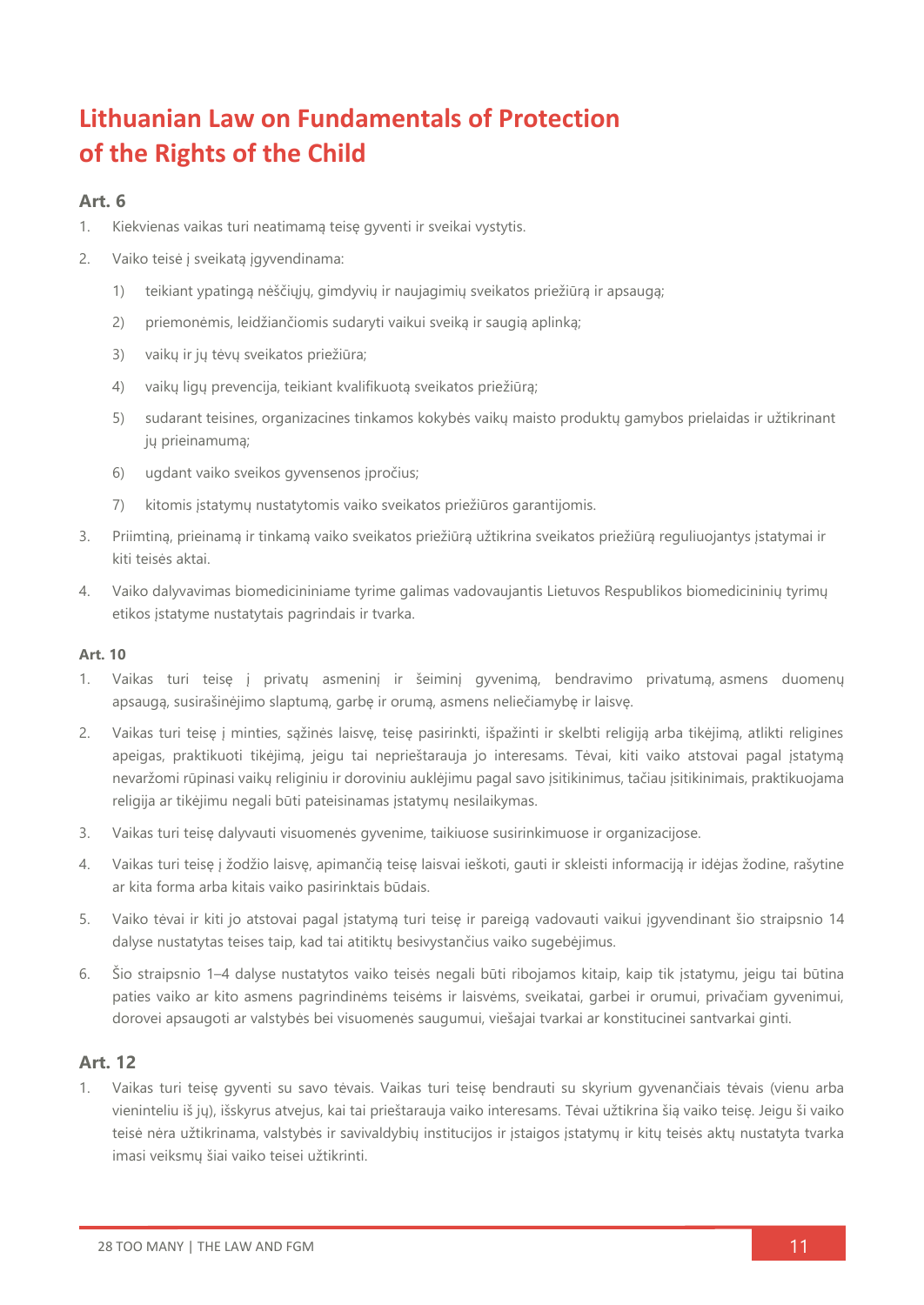## **Lithuanian Law on Fundamentals of Protection of the Rights of the Child**

### **Art. 6**

- 1. Kiekvienas vaikas turi neatimamą teisę gyventi ir sveikai vystytis.
- 2. Vaiko teisė į sveikatą įgyvendinama:
	- 1) teikiant ypatingą nėščiųjų, gimdyvių ir naujagimių sveikatos priežiūrą ir apsaugą;
	- 2) priemonėmis, leidžiančiomis sudaryti vaikui sveiką ir saugią aplinką;
	- 3) vaikų ir jų tėvų sveikatos priežiūra;
	- 4) vaikų ligų prevencija, teikiant kvalifikuotą sveikatos priežiūrą;
	- 5) sudarant teisines, organizacines tinkamos kokybės vaikų maisto produktų gamybos prielaidas ir užtikrinant jų prieinamumą;
	- 6) ugdant vaiko sveikos gyvensenos įpročius;
	- 7) kitomis įstatymų nustatytomis vaiko sveikatos priežiūros garantijomis.
- 3. Priimtiną, prieinamą ir tinkamą vaiko sveikatos priežiūrą užtikrina sveikatos priežiūrą reguliuojantys įstatymai ir kiti teisės aktai.
- 4. Vaiko dalyvavimas biomedicininiame tyrime galimas vadovaujantis Lietuvos Respublikos biomedicininių tyrimų etikos įstatyme nustatytais pagrindais ir tvarka.

#### **Art. 10**

- 1. Vaikas turi teisę į privatų asmeninį ir šeiminį gyvenimą, bendravimo privatumą, asmens duomenų apsaugą, susirašinėjimo slaptumą, garbę ir orumą, asmens neliečiamybę ir laisvę.
- 2. Vaikas turi teisę į minties, sąžinės laisvę, teisę pasirinkti, išpažinti ir skelbti religiją arba tikėjimą, atlikti religines apeigas, praktikuoti tikėjimą, jeigu tai neprieštarauja jo interesams. Tėvai, kiti vaiko atstovai pagal įstatymą nevaržomi rūpinasi vaikų religiniu ir doroviniu auklėjimu pagal savo įsitikinimus, tačiau įsitikinimais, praktikuojama religija ar tikėjimu negali būti pateisinamas įstatymų nesilaikymas.
- 3. Vaikas turi teisę dalyvauti visuomenės gyvenime, taikiuose susirinkimuose ir organizacijose.
- 4. Vaikas turi teisę į žodžio laisvę, apimančią teisę laisvai ieškoti, gauti ir skleisti informaciją ir idėjas žodine, rašytine ar kita forma arba kitais vaiko pasirinktais būdais.
- 5. Vaiko tėvai ir kiti jo atstovai pagal įstatymą turi teisę ir pareigą vadovauti vaikui įgyvendinant šio straipsnio 14 dalyse nustatytas teises taip, kad tai atitiktų besivystančius vaiko sugebėjimus.
- 6. Šio straipsnio 1–4 dalyse nustatytos vaiko teisės negali būti ribojamos kitaip, kaip tik įstatymu, jeigu tai būtina paties vaiko ar kito asmens pagrindinėms teisėms ir laisvėms, sveikatai, garbei ir orumui, privačiam gyvenimui, dorovei apsaugoti ar valstybės bei visuomenės saugumui, viešajai tvarkai ar konstitucinei santvarkai ginti.

### **Art. 12**

1. Vaikas turi teisę gyventi su savo tėvais. Vaikas turi teisę bendrauti su skyrium gyvenančiais tėvais (vienu arba vieninteliu iš jų), išskyrus atvejus, kai tai prieštarauja vaiko interesams. Tėvai užtikrina šią vaiko teisę. Jeigu ši vaiko teisė nėra užtikrinama, valstybės ir savivaldybių institucijos ir įstaigos įstatymų ir kitų teisės aktų nustatyta tvarka imasi veiksmų šiai vaiko teisei užtikrinti.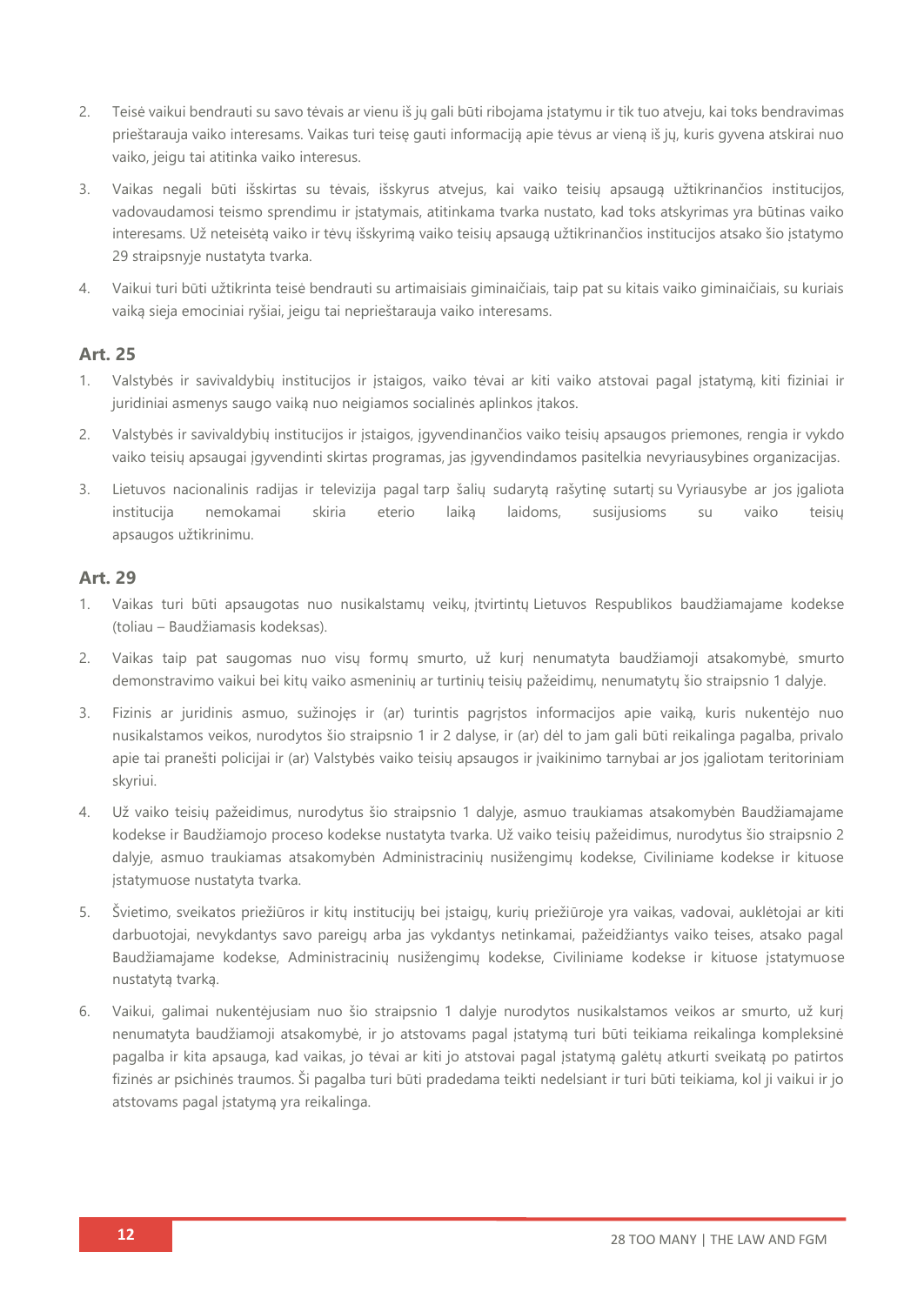- 2. Teisė vaikui bendrauti su savo tėvais ar vienu iš jų gali būti ribojama įstatymu ir tik tuo atveju, kai toks bendravimas prieštarauja vaiko interesams. Vaikas turi teisę gauti informaciją apie tėvus ar vieną iš jų, kuris gyvena atskirai nuo vaiko, jeigu tai atitinka vaiko interesus.
- 3. Vaikas negali būti išskirtas su tėvais, išskyrus atvejus, kai vaiko teisių apsaugą užtikrinančios institucijos, vadovaudamosi teismo sprendimu ir įstatymais, atitinkama tvarka nustato, kad toks atskyrimas yra būtinas vaiko interesams. Už neteisėtą vaiko ir tėvų išskyrimą vaiko teisių apsaugą užtikrinančios institucijos atsako šio įstatymo 29 straipsnyje nustatyta tvarka.
- 4. Vaikui turi būti užtikrinta teisė bendrauti su artimaisiais giminaičiais, taip pat su kitais vaiko giminaičiais, su kuriais vaiką sieja emociniai ryšiai, jeigu tai neprieštarauja vaiko interesams.

### **Art. 25**

- 1. Valstybės ir savivaldybių institucijos ir įstaigos, vaiko tėvai ar kiti vaiko atstovai pagal įstatymą, kiti fiziniai ir juridiniai asmenys saugo vaiką nuo neigiamos socialinės aplinkos įtakos.
- 2. Valstybės ir savivaldybių institucijos ir įstaigos, įgyvendinančios vaiko teisių apsaugos priemones, rengia ir vykdo vaiko teisių apsaugai įgyvendinti skirtas programas, jas įgyvendindamos pasitelkia nevyriausybines organizacijas.
- 3. Lietuvos nacionalinis radijas ir televizija pagal tarp šalių sudarytą rašytinę sutartį su Vyriausybe ar jos įgaliota institucija nemokamai skiria eterio laiką laidoms, susijusioms su vaiko teisių apsaugos užtikrinimu.

- 1. Vaikas turi būti apsaugotas nuo nusikalstamų veikų, įtvirtintų Lietuvos Respublikos baudžiamajame kodekse (toliau – Baudžiamasis kodeksas).
- 2. Vaikas taip pat saugomas nuo visų formų smurto, už kurį nenumatyta baudžiamoji atsakomybė, smurto demonstravimo vaikui bei kitų vaiko asmeninių ar turtinių teisių pažeidimų, nenumatytų šio straipsnio 1 dalyje.
- 3. Fizinis ar juridinis asmuo, sužinojęs ir (ar) turintis pagrįstos informacijos apie vaiką, kuris nukentėjo nuo nusikalstamos veikos, nurodytos šio straipsnio 1 ir 2 dalyse, ir (ar) dėl to jam gali būti reikalinga pagalba, privalo apie tai pranešti policijai ir (ar) Valstybės vaiko teisių apsaugos ir įvaikinimo tarnybai ar jos įgaliotam teritoriniam skyriui.
- 4. Už vaiko teisių pažeidimus, nurodytus šio straipsnio 1 dalyje, asmuo traukiamas atsakomybėn Baudžiamajame kodekse ir Baudžiamojo proceso kodekse nustatyta tvarka. Už vaiko teisių pažeidimus, nurodytus šio straipsnio 2 dalyje, asmuo traukiamas atsakomybėn Administracinių nusižengimų kodekse, Civiliniame kodekse ir kituose įstatymuose nustatyta tvarka.
- 5. Švietimo, sveikatos priežiūros ir kitų institucijų bei įstaigų, kurių priežiūroje yra vaikas, vadovai, auklėtojai ar kiti darbuotojai, nevykdantys savo pareigų arba jas vykdantys netinkamai, pažeidžiantys vaiko teises, atsako pagal Baudžiamajame kodekse, Administracinių nusižengimų kodekse, Civiliniame kodekse ir kituose įstatymuose nustatytą tvarką.
- 6. Vaikui, galimai nukentėjusiam nuo šio straipsnio 1 dalyje nurodytos nusikalstamos veikos ar smurto, už kurį nenumatyta baudžiamoji atsakomybė, ir jo atstovams pagal įstatymą turi būti teikiama reikalinga kompleksinė pagalba ir kita apsauga, kad vaikas, jo tėvai ar kiti jo atstovai pagal įstatymą galėtų atkurti sveikatą po patirtos fizinės ar psichinės traumos. Ši pagalba turi būti pradedama teikti nedelsiant ir turi būti teikiama, kol ji vaikui ir jo atstovams pagal įstatymą yra reikalinga.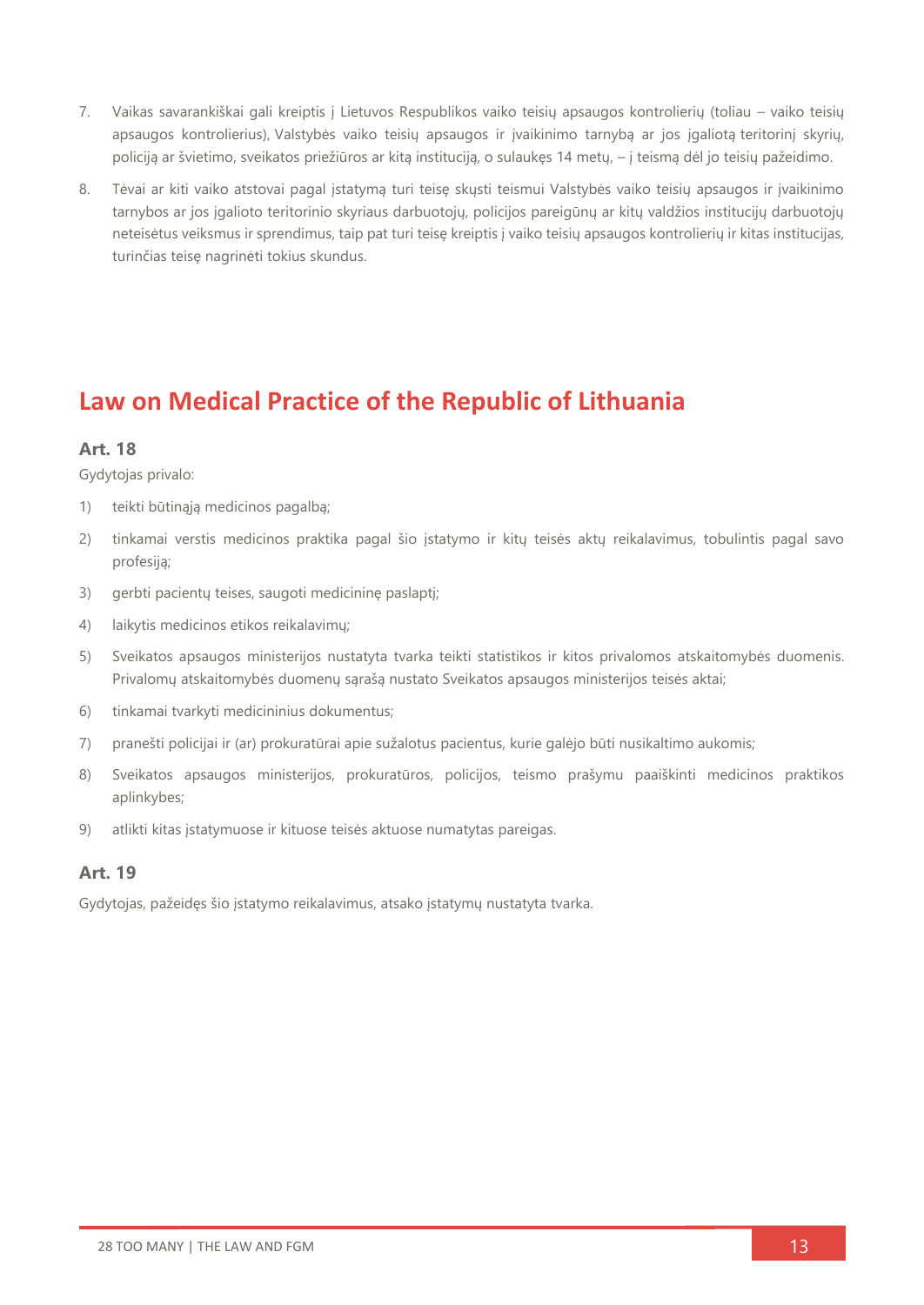- 7. Vaikas savarankiškai gali kreiptis į Lietuvos Respublikos vaiko teisių apsaugos kontrolierių (toliau vaiko teisių apsaugos kontrolierius), Valstybės vaiko teisių apsaugos ir įvaikinimo tarnybą ar jos įgaliotą teritorinį skyrių, policiją ar švietimo, sveikatos priežiūros ar kitą instituciją, o sulaukęs 14 metų, – į teismą dėl jo teisių pažeidimo.
- 8. Tėvai ar kiti vaiko atstovai pagal įstatymą turi teisę skųsti teismui Valstybės vaiko teisių apsaugos ir įvaikinimo tarnybos ar jos įgalioto teritorinio skyriaus darbuotojų, policijos pareigūnų ar kitų valdžios institucijų darbuotojų neteisėtus veiksmus ir sprendimus, taip pat turi teisę kreiptis į vaiko teisių apsaugos kontrolierių ir kitas institucijas, turinčias teisę nagrinėti tokius skundus.

### **Law on Medical Practice of the Republic of Lithuania**

### **Art. 18**

Gydytojas privalo:

- 1) teikti būtinąją medicinos pagalbą;
- 2) tinkamai verstis medicinos praktika pagal šio įstatymo ir kitų teisės aktų reikalavimus, tobulintis pagal savo profesiją;
- 3) gerbti pacientų teises, saugoti medicininę paslaptį;
- 4) laikytis medicinos etikos reikalavimų;
- 5) Sveikatos apsaugos ministerijos nustatyta tvarka teikti statistikos ir kitos privalomos atskaitomybės duomenis. Privalomų atskaitomybės duomenų sąrašą nustato Sveikatos apsaugos ministerijos teisės aktai;
- 6) tinkamai tvarkyti medicininius dokumentus;
- 7) pranešti policijai ir (ar) prokuratūrai apie sužalotus pacientus, kurie galėjo būti nusikaltimo aukomis;
- 8) Sveikatos apsaugos ministerijos, prokuratūros, policijos, teismo prašymu paaiškinti medicinos praktikos aplinkybes;
- 9) atlikti kitas įstatymuose ir kituose teisės aktuose numatytas pareigas.

### **Art. 19**

Gydytojas, pažeidęs šio įstatymo reikalavimus, atsako įstatymų nustatyta tvarka.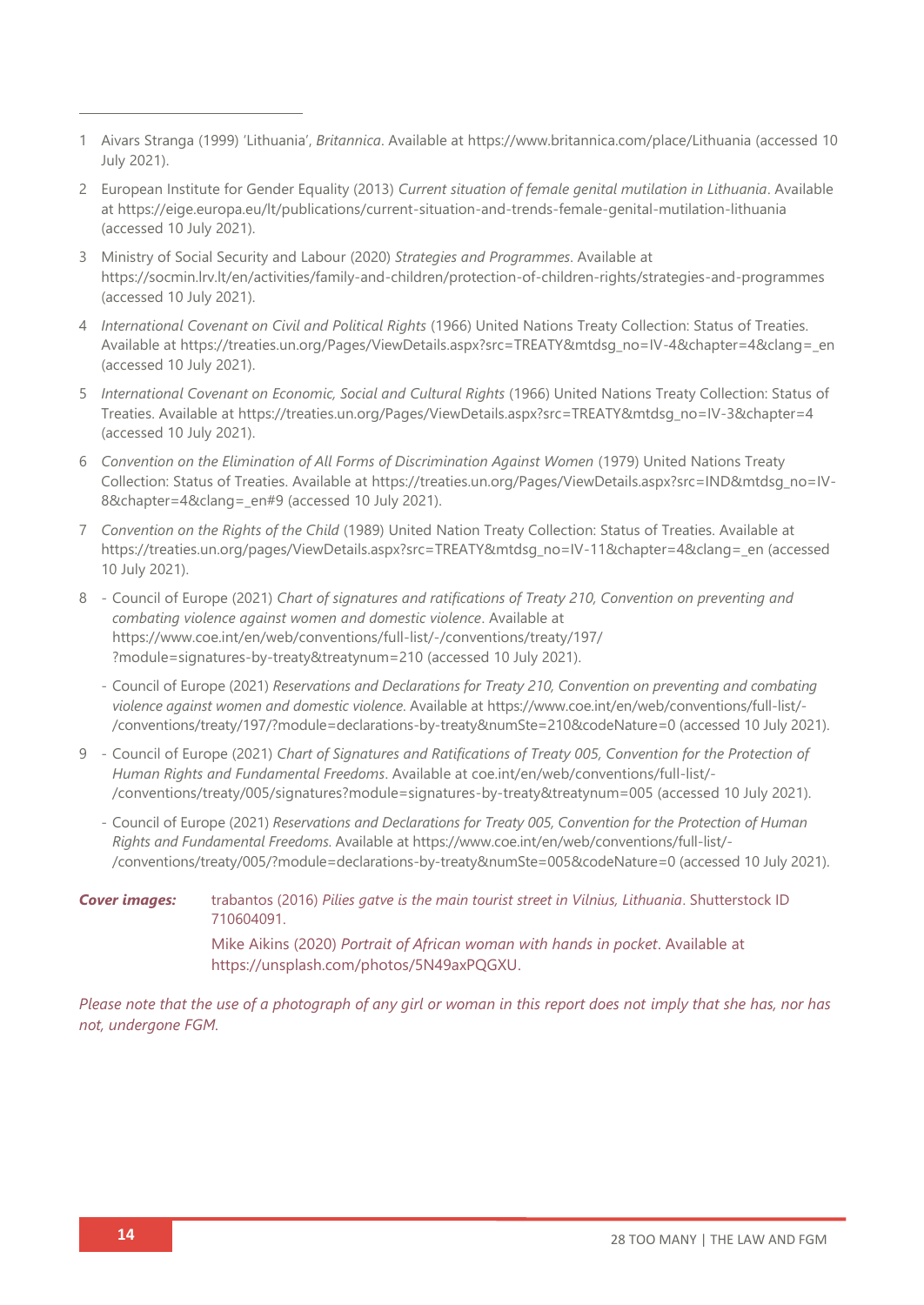- 1 Aivars Stranga (1999) 'Lithuania', *Britannica*. Available at<https://www.britannica.com/place/Lithuania> (accessed 10 July 2021).
- 2 European Institute for Gender Equality (2013) *Current situation of female genital mutilation in Lithuania*. Available at<https://eige.europa.eu/lt/publications/current-situation-and-trends-female-genital-mutilation-lithuania> (accessed 10 July 2021).
- 3 Ministry of Social Security and Labour (2020) *Strategies and Programmes*. Available at <https://socmin.lrv.lt/en/activities/family-and-children/protection-of-children-rights/strategies-and-programmes> (accessed 10 July 2021).
- 4 *International Covenant on Civil and Political Rights* (1966) United Nations Treaty Collection: Status of Treaties. Available at [https://treaties.un.org/Pages/ViewDetails.aspx?src=TREATY&mtdsg\\_no=IV-4&chapter=4&clang=\\_en](https://treaties.un.org/Pages/ViewDetails.aspx?src=TREATY&mtdsg_no=IV-4&chapter=4&clang=_en) (accessed 10 July 2021).
- 5 *International Covenant on Economic, Social and Cultural Rights* (1966) United Nations Treaty Collection: Status of Treaties. Available at [https://treaties.un.org/Pages/ViewDetails.aspx?src=TREATY&mtdsg\\_no=IV-3&chapter=4](https://treaties.un.org/Pages/ViewDetails.aspx?src=TREATY&mtdsg_no=IV-3&chapter=4) (accessed 10 July 2021).
- 6 *Convention on the Elimination of All Forms of Discrimination Against Women* (1979) United Nations Treaty Collection: Status of Treaties. Available at [https://treaties.un.org/Pages/ViewDetails.aspx?src=IND&mtdsg\\_no=IV-](https://treaties.un.org/Pages/ViewDetails.aspx?src=IND&mtdsg_no=IV-8&chapter=4&clang=_en#9)8&chapter=4&clang= en#9 (accessed 10 July 2021).
- 7 *Convention on the Rights of the Child* (1989) United Nation Treaty Collection: Status of Treaties. Available at [https://treaties.un.org/pages/ViewDetails.aspx?src=TREATY&mtdsg\\_no=IV-11&chapter=4&clang=\\_en](https://treaties.un.org/pages/ViewDetails.aspx?src=TREATY&mtdsg_no=IV-11&chapter=4&clang=_en) (accessed 10 July 2021).
- 8 Council of Europe (2021) *Chart of signatures and ratifications of Treaty 210, Convention on preventing and combating violence against women and domestic violence*. Available at [https://www.coe.int/en/web/conventions/full-list/-/conventions/treaty/197/](https://www.coe.int/en/web/conventions/full-list/-/conventions/treaty/197/?module=signatures-by-treaty&treatynum=210) [?module=signatures-by-treaty&treatynum=210](https://www.coe.int/en/web/conventions/full-list/-/conventions/treaty/197/?module=signatures-by-treaty&treatynum=210) (accessed 10 July 2021).
	- Council of Europe (2021) *Reservations and Declarations for Treaty 210, Convention on preventing and combating violence against women and domestic violence*. Available at [https://www.coe.int/en/web/conventions/full-list/-](https://www.coe.int/en/web/conventions/full-list/-/conventions/treaty/197/?module=declarations-by-treaty&numSte=210&codeNature=0) [/conventions/treaty/197/?module=declarations-by-treaty&numSte=210&codeNature=0](https://www.coe.int/en/web/conventions/full-list/-/conventions/treaty/197/?module=declarations-by-treaty&numSte=210&codeNature=0) (accessed 10 July 2021).
- 9 Council of Europe (2021) *Chart of Signatures and Ratifications of Treaty 005, Convention for the Protection of Human Rights and Fundamental Freedoms*. Available at coe.int/en/web/conventions/full-list/- /conventions/treaty/005/signatures?module=signatures-by-treaty&treatynum=005 (accessed 10 July 2021).
	- Council of Europe (2021) *Reservations and Declarations for Treaty 005, Convention for the Protection of Human Rights and Fundamental Freedoms*. Available at [https://www.coe.int/en/web/conventions/full-list/-](https://www.coe.int/en/web/conventions/full-list/-/conventions/treaty/005/?module=declarations-by-treaty&numSte=005&codeNature=0) [/conventions/treaty/005/?module=declarations-by-treaty&numSte=005&codeNature=0](https://www.coe.int/en/web/conventions/full-list/-/conventions/treaty/005/?module=declarations-by-treaty&numSte=005&codeNature=0) (accessed 10 July 2021).
- *Cover images:* trabantos (2016) *Pilies gatve is the main tourist street in Vilnius, Lithuania*. Shutterstock ID 710604091. Mike Aikins (2020) *Portrait of African woman with hands in pocket*. Available at [https://unsplash.com/photos/5N49axPQGXU.](https://unsplash.com/photos/5N49axPQGXU)

*Please note that the use of a photograph of any girl or woman in this report does not imply that she has, nor has not, undergone FGM.*